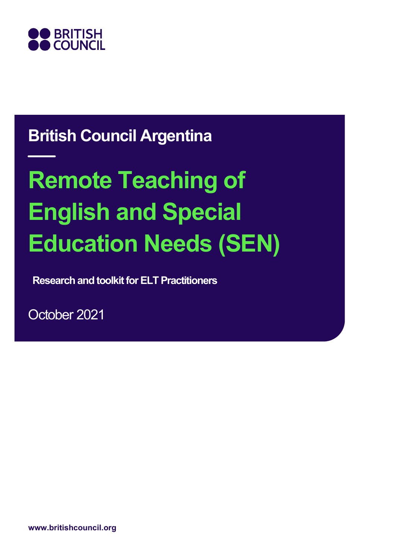

# **British Council Argentina**

# **Remote Teaching of English and Special Education Needs (SEN)**

**Research and toolkit for ELT Practitioners**

October 2021

**www.britishcouncil.org**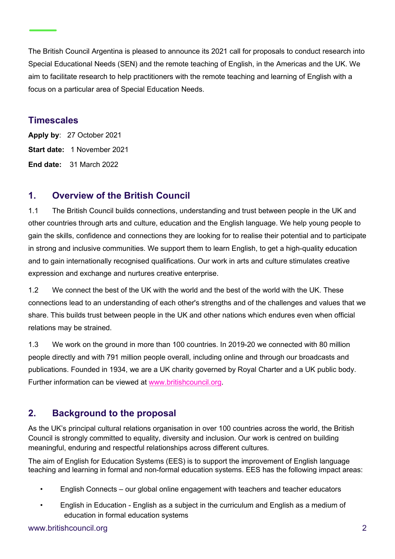The British Council Argentina is pleased to announce its 2021 call for proposals to conduct research into Special Educational Needs (SEN) and the remote teaching of English, in the Americas and the UK. We aim to facilitate research to help practitioners with the remote teaching and learning of English with a focus on a particular area of Special Education Needs.

#### **Timescales**

**Apply by**: 27 October 2021 **Start date:** 1 November 2021 **End date:** 31 March 2022

### **1. Overview of the British Council**

1.1 The British Council builds connections, understanding and trust between people in the UK and other countries through arts and culture, education and the English language. We help young people to gain the skills, confidence and connections they are looking for to realise their potential and to participate in strong and inclusive communities. We support them to learn English, to get a high-quality education and to gain internationally recognised qualifications. Our work in arts and culture stimulates creative expression and exchange and nurtures creative enterprise.

1.2 We connect the best of the UK with the world and the best of the world with the UK. These connections lead to an understanding of each other's strengths and of the challenges and values that we share. This builds trust between people in the UK and other nations which endures even when official relations may be strained.

1.3 We work on the ground in more than 100 countries. In 2019-20 we connected with 80 million people directly and with 791 million people overall, including online and through our broadcasts and publications. Founded in 1934, we are a UK charity governed by Royal Charter and a UK public body. Further information can be viewed at [www.britishcouncil.org.](http://www.britishcouncil.org/)

### **2. Background to the proposal**

As the UK's principal cultural relations organisation in over 100 countries across the world, the British Council is strongly committed to equality, diversity and inclusion. Our work is centred on building meaningful, enduring and respectful relationships across different cultures.

The aim of English for Education Systems (EES) is to support the improvement of English language teaching and learning in formal and non-formal education systems. EES has the following impact areas:

- English Connects our global online engagement with teachers and teacher educators
- English in Education English as a subject in the curriculum and English as a medium of education in formal education systems

#### www.britishcouncil.org 2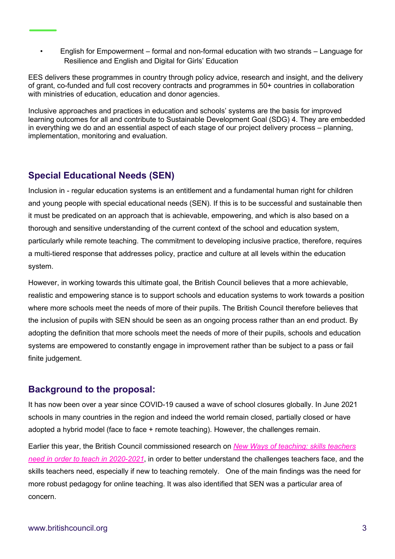• English for Empowerment – formal and non-formal education with two strands – Language for Resilience and English and Digital for Girls' Education

EES delivers these programmes in country through policy advice, research and insight, and the delivery of grant, co-funded and full cost recovery contracts and programmes in 50+ countries in collaboration with ministries of education, education and donor agencies.

Inclusive approaches and practices in education and schools' systems are the basis for improved learning outcomes for all and contribute to Sustainable Development Goal (SDG) 4. They are embedded in everything we do and an essential aspect of each stage of our project delivery process – planning, implementation, monitoring and evaluation.

# **Special Educational Needs (SEN)**

Inclusion in - regular education systems is an entitlement and a fundamental human right for children and young people with special educational needs (SEN). If this is to be successful and sustainable then it must be predicated on an approach that is achievable, empowering, and which is also based on a thorough and sensitive understanding of the current context of the school and education system, particularly while remote teaching. The commitment to developing inclusive practice, therefore, requires a multi-tiered response that addresses policy, practice and culture at all levels within the education system.

However, in working towards this ultimate goal, the British Council believes that a more achievable, realistic and empowering stance is to support schools and education systems to work towards a position where more schools meet the needs of more of their pupils. The British Council therefore believes that the inclusion of pupils with SEN should be seen as an ongoing process rather than an end product. By adopting the definition that more schools meet the needs of more of their pupils, schools and education systems are empowered to constantly engage in improvement rather than be subject to a pass or fail finite judgement.

#### **Background to the proposal:**

It has now been over a year since COVID-19 caused a wave of school closures globally. In June 2021 schools in many countries in the region and indeed the world remain closed, partially closed or have adopted a hybrid model (face to face + remote teaching). However, the challenges remain.

Earlier this year, the British Council commissioned research on *[New Ways of teaching: skills teachers](https://americas.britishcouncil.org/sites/default/files/final-new_ways_of_teaching_250521_to_be_published_0.pdf?_ga=2.33794210.2043801017.1624037286-829463931.1624037286)  [need in order to teach in 2020-2021](https://americas.britishcouncil.org/sites/default/files/final-new_ways_of_teaching_250521_to_be_published_0.pdf?_ga=2.33794210.2043801017.1624037286-829463931.1624037286)*, in order to better understand the challenges teachers face, and the skills teachers need, especially if new to teaching remotely. One of the main findings was the need for more robust pedagogy for online teaching. It was also identified that SEN was a particular area of concern.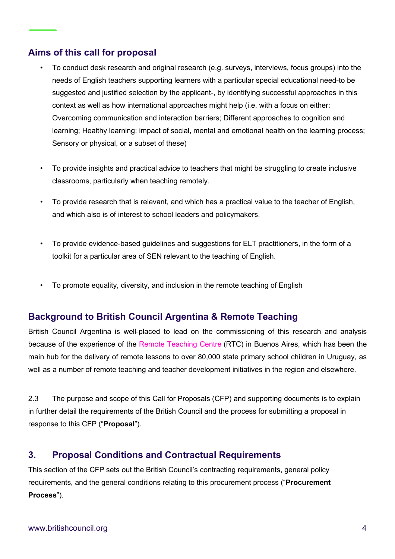# **Aims of this call for proposal**

- To conduct desk research and original research (e.g. surveys, interviews, focus groups) into the needs of English teachers supporting learners with a particular special educational need-to be suggested and justified selection by the applicant-, by identifying successful approaches in this context as well as how international approaches might help (i.e. with a focus on either: Overcoming communication and interaction barriers; Different approaches to cognition and learning; Healthy learning: impact of social, mental and emotional health on the learning process; Sensory or physical, or a subset of these)
- To provide insights and practical advice to teachers that might be struggling to create inclusive classrooms, particularly when teaching remotely.
- To provide research that is relevant, and which has a practical value to the teacher of English, and which also is of interest to school leaders and policymakers.
- To provide evidence-based quidelines and suggestions for ELT practitioners, in the form of a toolkit for a particular area of SEN relevant to the teaching of English.
- To promote equality, diversity, and inclusion in the remote teaching of English

### **Background to British Council Argentina & Remote Teaching**

British Council Argentina is well-placed to lead on the commissioning of this research and analysis because of the experience of the [Remote Teaching Centre](https://www.britishcouncil.org.ar/en/en/programmes/education/rtc) (RTC) in Buenos Aires, which has been the main hub for the delivery of remote lessons to over 80,000 state primary school children in Uruguay, as well as a number of remote teaching and teacher development initiatives in the region and elsewhere.

2.3 The purpose and scope of this Call for Proposals (CFP) and supporting documents is to explain in further detail the requirements of the British Council and the process for submitting a proposal in response to this CFP ("**Proposal**").

#### **3. Proposal Conditions and Contractual Requirements**

This section of the CFP sets out the British Council's contracting requirements, general policy requirements, and the general conditions relating to this procurement process ("**Procurement Process**").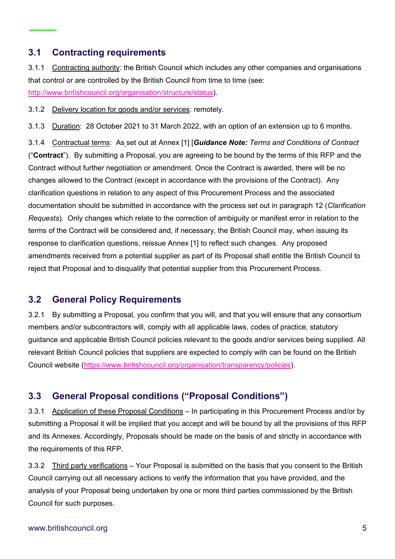#### **3.1 Contracting requirements**

3.1.1 Contracting authority: the British Council which includes any other companies and organisations that control or are controlled by the British Council from time to time (see: [http://www.britishcouncil.org/organisation/structure/status\)](http://www.britishcouncil.org/organisation/structure/status).

3.1.2 Delivery location for goods and/or services: remotely.

3.1.3 Duration: 28 October 2021 to 31 March 2022, with an option of an extension up to 6 months.

3.1.4 Contractual terms: As set out at Annex [1] [*Guidance Note: Terms and Conditions of Contract* ("**Contract**"). By submitting a Proposal, you are agreeing to be bound by the terms of this RFP and the Contract without further negotiation or amendment. Once the Contract is awarded, there will be no changes allowed to the Contract (except in accordance with the provisions of the Contract). Any clarification questions in relation to any aspect of this Procurement Process and the associated documentation should be submitted in accordance with the process set out in paragraph 12 (*Clarification Requests*). Only changes which relate to the correction of ambiguity or manifest error in relation to the terms of the Contract will be considered and, if necessary, the British Council may, when issuing its response to clarification questions, reissue Annex [1] to reflect such changes. Any proposed amendments received from a potential supplier as part of its Proposal shall entitle the British Council to reject that Proposal and to disqualify that potential supplier from this Procurement Process.

### **3.2 General Policy Requirements**

3.2.1 By submitting a Proposal, you confirm that you will, and that you will ensure that any consortium members and/or subcontractors will, comply with all applicable laws, codes of practice, statutory guidance and applicable British Council policies relevant to the goods and/or services being supplied. All relevant British Council policies that suppliers are expected to comply with can be found on the British Council website [\(https://www.britishcouncil.org/organisation/transparency/policies\)](https://www.britishcouncil.org/organisation/transparency/policies).

### **3.3 General Proposal conditions ("Proposal Conditions")**

3.3.1 Application of these Proposal Conditions – In participating in this Procurement Process and/or by submitting a Proposal it will be implied that you accept and will be bound by all the provisions of this RFP and its Annexes. Accordingly, Proposals should be made on the basis of and strictly in accordance with the requirements of this RFP.

3.3.2 Third party verifications – Your Proposal is submitted on the basis that you consent to the British Council carrying out all necessary actions to verify the information that you have provided, and the analysis of your Proposal being undertaken by one or more third parties commissioned by the British Council for such purposes.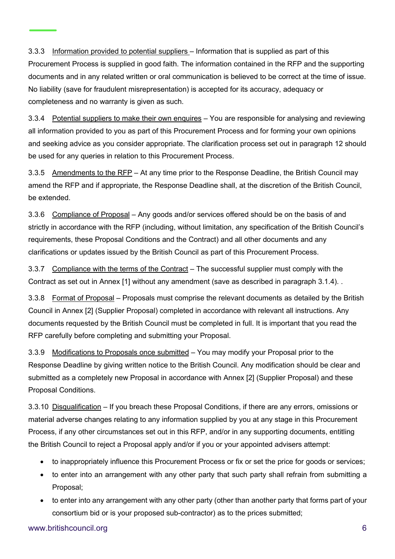3.3.3 Information provided to potential suppliers – Information that is supplied as part of this Procurement Process is supplied in good faith. The information contained in the RFP and the supporting documents and in any related written or oral communication is believed to be correct at the time of issue. No liability (save for fraudulent misrepresentation) is accepted for its accuracy, adequacy or completeness and no warranty is given as such.

3.3.4 Potential suppliers to make their own enquires - You are responsible for analysing and reviewing all information provided to you as part of this Procurement Process and for forming your own opinions and seeking advice as you consider appropriate. The clarification process set out in paragraph 12 should be used for any queries in relation to this Procurement Process.

3.3.5 Amendments to the RFP – At any time prior to the Response Deadline, the British Council may amend the RFP and if appropriate, the Response Deadline shall, at the discretion of the British Council, be extended.

3.3.6 Compliance of Proposal – Any goods and/or services offered should be on the basis of and strictly in accordance with the RFP (including, without limitation, any specification of the British Council's requirements, these Proposal Conditions and the Contract) and all other documents and any clarifications or updates issued by the British Council as part of this Procurement Process.

3.3.7 Compliance with the terms of the Contract – The successful supplier must comply with the Contract as set out in Annex [1] without any amendment (save as described in paragraph 3.1.4). .

3.3.8 Format of Proposal – Proposals must comprise the relevant documents as detailed by the British Council in Annex [2] (Supplier Proposal) completed in accordance with relevant all instructions. Any documents requested by the British Council must be completed in full. It is important that you read the RFP carefully before completing and submitting your Proposal.

3.3.9 Modifications to Proposals once submitted – You may modify your Proposal prior to the Response Deadline by giving written notice to the British Council. Any modification should be clear and submitted as a completely new Proposal in accordance with Annex [2] (Supplier Proposal) and these Proposal Conditions.

3.3.10 Disqualification – If you breach these Proposal Conditions, if there are any errors, omissions or material adverse changes relating to any information supplied by you at any stage in this Procurement Process, if any other circumstances set out in this RFP, and/or in any supporting documents, entitling the British Council to reject a Proposal apply and/or if you or your appointed advisers attempt:

- to inappropriately influence this Procurement Process or fix or set the price for goods or services;
- to enter into an arrangement with any other party that such party shall refrain from submitting a Proposal;
- to enter into any arrangement with any other party (other than another party that forms part of your consortium bid or is your proposed sub-contractor) as to the prices submitted;

www.britishcouncil.org 6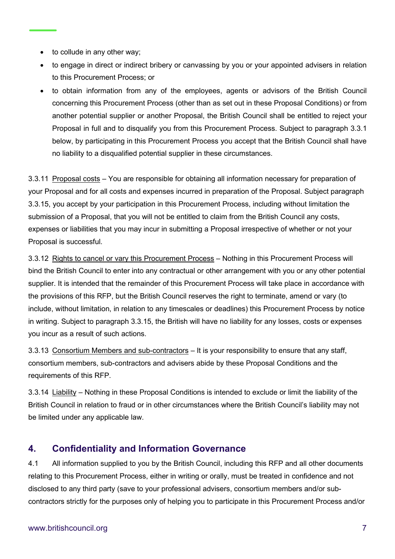- to collude in any other way;
- to engage in direct or indirect bribery or canvassing by you or your appointed advisers in relation to this Procurement Process; or
- to obtain information from any of the employees, agents or advisors of the British Council concerning this Procurement Process (other than as set out in these Proposal Conditions) or from another potential supplier or another Proposal, the British Council shall be entitled to reject your Proposal in full and to disqualify you from this Procurement Process. Subject to paragraph 3.3.1 below, by participating in this Procurement Process you accept that the British Council shall have no liability to a disqualified potential supplier in these circumstances.

3.3.11 Proposal costs – You are responsible for obtaining all information necessary for preparation of your Proposal and for all costs and expenses incurred in preparation of the Proposal. Subject paragraph 3.3.15, you accept by your participation in this Procurement Process, including without limitation the submission of a Proposal, that you will not be entitled to claim from the British Council any costs, expenses or liabilities that you may incur in submitting a Proposal irrespective of whether or not your Proposal is successful.

3.3.12 Rights to cancel or vary this Procurement Process – Nothing in this Procurement Process will bind the British Council to enter into any contractual or other arrangement with you or any other potential supplier. It is intended that the remainder of this Procurement Process will take place in accordance with the provisions of this RFP, but the British Council reserves the right to terminate, amend or vary (to include, without limitation, in relation to any timescales or deadlines) this Procurement Process by notice in writing. Subject to paragraph 3.3.15, the British will have no liability for any losses, costs or expenses you incur as a result of such actions.

3.3.13 Consortium Members and sub-contractors – It is your responsibility to ensure that any staff, consortium members, sub-contractors and advisers abide by these Proposal Conditions and the requirements of this RFP.

3.3.14 Liability – Nothing in these Proposal Conditions is intended to exclude or limit the liability of the British Council in relation to fraud or in other circumstances where the British Council's liability may not be limited under any applicable law.

# **4. Confidentiality and Information Governance**

4.1 All information supplied to you by the British Council, including this RFP and all other documents relating to this Procurement Process, either in writing or orally, must be treated in confidence and not disclosed to any third party (save to your professional advisers, consortium members and/or subcontractors strictly for the purposes only of helping you to participate in this Procurement Process and/or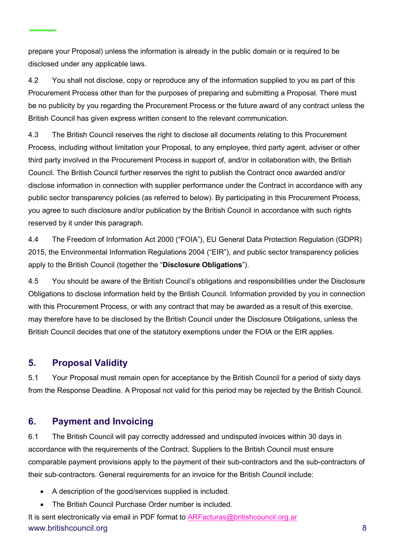prepare your Proposal) unless the information is already in the public domain or is required to be disclosed under any applicable laws.

4.2 You shall not disclose, copy or reproduce any of the information supplied to you as part of this Procurement Process other than for the purposes of preparing and submitting a Proposal. There must be no publicity by you regarding the Procurement Process or the future award of any contract unless the British Council has given express written consent to the relevant communication.

4.3 The British Council reserves the right to disclose all documents relating to this Procurement Process, including without limitation your Proposal, to any employee, third party agent, adviser or other third party involved in the Procurement Process in support of, and/or in collaboration with, the British Council. The British Council further reserves the right to publish the Contract once awarded and/or disclose information in connection with supplier performance under the Contract in accordance with any public sector transparency policies (as referred to below). By participating in this Procurement Process, you agree to such disclosure and/or publication by the British Council in accordance with such rights reserved by it under this paragraph.

4.4 The Freedom of Information Act 2000 ("FOIA"), EU General Data Protection Regulation (GDPR) 2015, the Environmental Information Regulations 2004 ("EIR"), and public sector transparency policies apply to the British Council (together the "**Disclosure Obligations**").

4.5 You should be aware of the British Council's obligations and responsibilities under the Disclosure Obligations to disclose information held by the British Council. Information provided by you in connection with this Procurement Process, or with any contract that may be awarded as a result of this exercise, may therefore have to be disclosed by the British Council under the Disclosure Obligations, unless the British Council decides that one of the statutory exemptions under the FOIA or the EIR applies.

### **5. Proposal Validity**

5.1 Your Proposal must remain open for acceptance by the British Council for a period of sixty days from the Response Deadline. A Proposal not valid for this period may be rejected by the British Council.

#### **6. Payment and Invoicing**

6.1 The British Council will pay correctly addressed and undisputed invoices within 30 days in accordance with the requirements of the Contract. Suppliers to the British Council must ensure comparable payment provisions apply to the payment of their sub-contractors and the sub-contractors of their sub-contractors. General requirements for an invoice for the British Council include:

- A description of the good/services supplied is included.
- The British Council Purchase Order number is included.

www.britishcouncil.org 8 It is sent electronically via email in PDF format to [ARFacturas@britishcouncil.org.ar](mailto:ARFacturas@britishcouncil.org.ar)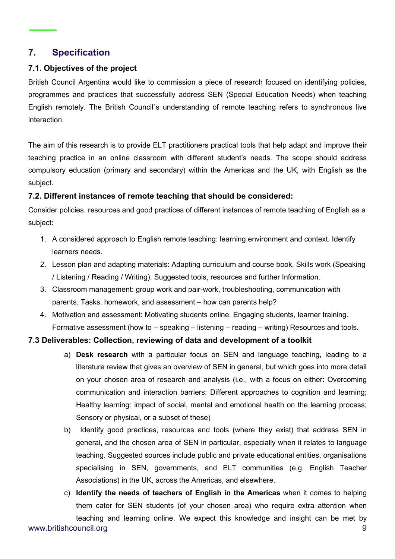### **7. Specification**

#### **7.1. Objectives of the project**

British Council Argentina would like to commission a piece of research focused on identifying policies, programmes and practices that successfully address SEN (Special Education Needs) when teaching English remotely. The British Council´s understanding of remote teaching refers to synchronous live interaction.

The aim of this research is to provide ELT practitioners practical tools that help adapt and improve their teaching practice in an online classroom with different student's needs. The scope should address compulsory education (primary and secondary) within the Americas and the UK, with English as the subject.

#### **7.2. Different instances of remote teaching that should be considered:**

Consider policies, resources and good practices of different instances of remote teaching of English as a subject:

- 1. A considered approach to English remote teaching: learning environment and context. Identify learners needs.
- 2. Lesson plan and adapting materials: Adapting curriculum and course book, Skills work (Speaking / Listening / Reading / Writing). Suggested tools, resources and further Information.
- 3. Classroom management: group work and pair-work, troubleshooting, communication with parents. Tasks, homework, and assessment – how can parents help?
- 4. Motivation and assessment: Motivating students online. Engaging students, learner training. Formative assessment (how to – speaking – listening – reading – writing) Resources and tools.

#### **7.3 Deliverables: Collection, reviewing of data and development of a toolkit**

- a) **Desk research** with a particular focus on SEN and language teaching, leading to a literature review that gives an overview of SEN in general, but which goes into more detail on your chosen area of research and analysis (i.e., with a focus on either: Overcoming communication and interaction barriers; Different approaches to cognition and learning; Healthy learning: impact of social, mental and emotional health on the learning process; Sensory or physical, or a subset of these)
- b) Identify good practices, resources and tools (where they exist) that address SEN in general, and the chosen area of SEN in particular, especially when it relates to language teaching. Suggested sources include public and private educational entities, organisations specialising in SEN, governments, and ELT communities (e.g. English Teacher Associations) in the UK, across the Americas, and elsewhere.
- www.britishcouncil.org 9 c) **Identify the needs of teachers of English in the Americas** when it comes to helping them cater for SEN students (of your chosen area) who require extra attention when teaching and learning online. We expect this knowledge and insight can be met by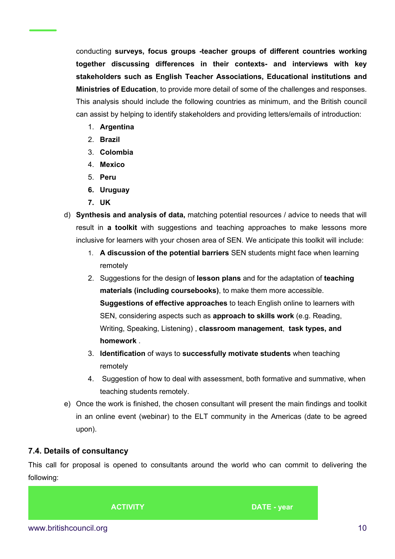conducting **surveys, focus groups -teacher groups of different countries working together discussing differences in their contexts- and interviews with key stakeholders such as English Teacher Associations, Educational institutions and Ministries of Education**, to provide more detail of some of the challenges and responses. This analysis should include the following countries as minimum, and the British council can assist by helping to identify stakeholders and providing letters/emails of introduction:

- 1. **Argentina**
- 2. **Brazil**
- 3. **Colombia**
- 4. **Mexico**
- 5. **Peru**
- **6. Uruguay**
- **7. UK**
- d) **Synthesis and analysis of data,** matching potential resources / advice to needs that will result in **a toolkit** with suggestions and teaching approaches to make lessons more inclusive for learners with your chosen area of SEN. We anticipate this toolkit will include:
	- 1. **A discussion of the potential barriers** SEN students might face when learning remotely
	- 2. Suggestions for the design of **lesson plans** and for the adaptation of **teaching materials (including coursebooks)**, to make them more accessible. **Suggestions of effective approaches** to teach English online to learners with SEN, considering aspects such as **approach to skills work** (e.g. Reading, Writing, Speaking, Listening) , **classroom management**, **task types, and homework** .
	- 3. **Identification** of ways to **successfully motivate students** when teaching remotely
	- 4. Suggestion of how to deal with assessment, both formative and summative, when teaching students remotely.
- e) Once the work is finished, the chosen consultant will present the main findings and toolkit in an online event (webinar) to the ELT community in the Americas (date to be agreed upon).

#### **7.4. Details of consultancy**

This call for proposal is opened to consultants around the world who can commit to delivering the following:

**ACTIVITY DATE - year**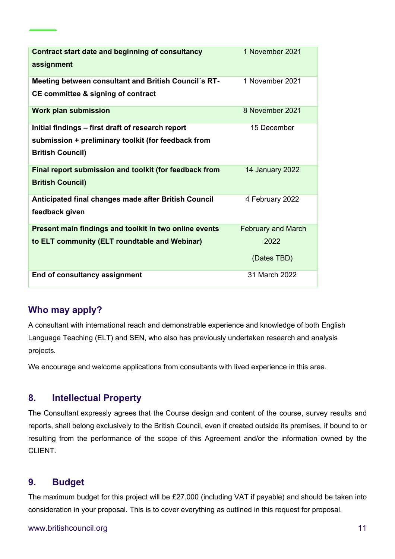| <b>Contract start date and beginning of consultancy</b><br>assignment | 1 November 2021           |
|-----------------------------------------------------------------------|---------------------------|
| Meeting between consultant and British Council's RT-                  | 1 November 2021           |
| <b>CE committee &amp; signing of contract</b>                         |                           |
| <b>Work plan submission</b>                                           | 8 November 2021           |
| Initial findings - first draft of research report                     | 15 December               |
| submission + preliminary toolkit (for feedback from                   |                           |
| <b>British Council)</b>                                               |                           |
| Final report submission and toolkit (for feedback from                | 14 January 2022           |
| <b>British Council)</b>                                               |                           |
| Anticipated final changes made after British Council                  | 4 February 2022           |
| feedback given                                                        |                           |
| Present main findings and toolkit in two online events                | <b>February and March</b> |
| to ELT community (ELT roundtable and Webinar)                         | 2022                      |
|                                                                       | (Dates TBD)               |
| End of consultancy assignment                                         | 31 March 2022             |

### **Who may apply?**

A consultant with international reach and demonstrable experience and knowledge of both English Language Teaching (ELT) and SEN, who also has previously undertaken research and analysis projects.

We encourage and welcome applications from consultants with lived experience in this area.

### **8. Intellectual Property**

The Consultant expressly agrees that the Course design and content of the course, survey results and reports, shall belong exclusively to the British Council, even if created outside its premises, if bound to or resulting from the performance of the scope of this Agreement and/or the information owned by the CLIENT.

#### **9. Budget**

The maximum budget for this project will be £27.000 (including VAT if payable) and should be taken into consideration in your proposal. This is to cover everything as outlined in this request for proposal.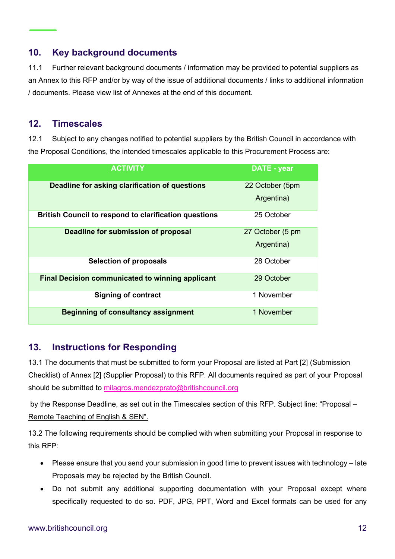# **10. Key background documents**

11.1 Further relevant background documents / information may be provided to potential suppliers as an Annex to this RFP and/or by way of the issue of additional documents / links to additional information / documents. Please view list of Annexes at the end of this document.

#### **12. Timescales**

12.1 Subject to any changes notified to potential suppliers by the British Council in accordance with the Proposal Conditions, the intended timescales applicable to this Procurement Process are:

| <b>ACTIVITY</b>                                              | <b>DATE - year</b> |
|--------------------------------------------------------------|--------------------|
| Deadline for asking clarification of questions               | 22 October (5pm    |
|                                                              | Argentina)         |
| <b>British Council to respond to clarification questions</b> | 25 October         |
| Deadline for submission of proposal                          | 27 October (5 pm   |
|                                                              | Argentina)         |
| <b>Selection of proposals</b>                                | 28 October         |
| <b>Final Decision communicated to winning applicant</b>      | 29 October         |
| <b>Signing of contract</b>                                   | 1 November         |
| <b>Beginning of consultancy assignment</b>                   | 1 November         |

### **13. Instructions for Responding**

13.1 The documents that must be submitted to form your Proposal are listed at Part [2] (Submission Checklist) of Annex [2] (Supplier Proposal) to this RFP. All documents required as part of your Proposal should be submitted to [milagros.mendezprato@britishcouncil.org](mailto:milagros.mendezprato@britishcouncil.org)

by the Response Deadline, as set out in the Timescales section of this RFP. Subject line: "Proposal – Remote Teaching of English & SEN".

13.2 The following requirements should be complied with when submitting your Proposal in response to this RFP:

- Please ensure that you send your submission in good time to prevent issues with technology late Proposals may be rejected by the British Council.
- Do not submit any additional supporting documentation with your Proposal except where specifically requested to do so. PDF, JPG, PPT, Word and Excel formats can be used for any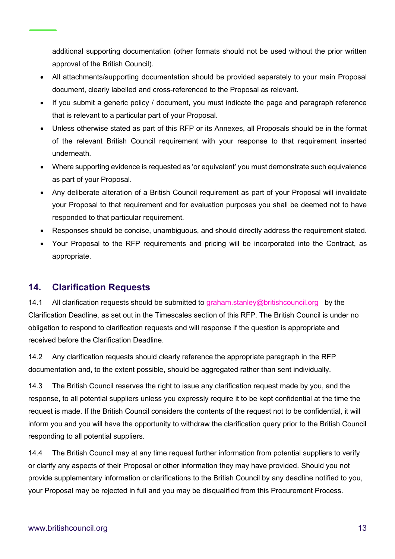additional supporting documentation (other formats should not be used without the prior written approval of the British Council).

- All attachments/supporting documentation should be provided separately to your main Proposal document, clearly labelled and cross-referenced to the Proposal as relevant.
- If you submit a generic policy / document, you must indicate the page and paragraph reference that is relevant to a particular part of your Proposal.
- Unless otherwise stated as part of this RFP or its Annexes, all Proposals should be in the format of the relevant British Council requirement with your response to that requirement inserted underneath.
- Where supporting evidence is requested as 'or equivalent' you must demonstrate such equivalence as part of your Proposal.
- Any deliberate alteration of a British Council requirement as part of your Proposal will invalidate your Proposal to that requirement and for evaluation purposes you shall be deemed not to have responded to that particular requirement.
- Responses should be concise, unambiguous, and should directly address the requirement stated.
- Your Proposal to the RFP requirements and pricing will be incorporated into the Contract, as appropriate.

#### **14. Clarification Requests**

14.1 All clarification requests should be submitted to [graham.stanley@britishcouncil.org](mailto:graham.stanley@britishcouncil.org) by the Clarification Deadline, as set out in the Timescales section of this RFP. The British Council is under no obligation to respond to clarification requests and will response if the question is appropriate and received before the Clarification Deadline.

14.2 Any clarification requests should clearly reference the appropriate paragraph in the RFP documentation and, to the extent possible, should be aggregated rather than sent individually.

14.3 The British Council reserves the right to issue any clarification request made by you, and the response, to all potential suppliers unless you expressly require it to be kept confidential at the time the request is made. If the British Council considers the contents of the request not to be confidential, it will inform you and you will have the opportunity to withdraw the clarification query prior to the British Council responding to all potential suppliers.

14.4 The British Council may at any time request further information from potential suppliers to verify or clarify any aspects of their Proposal or other information they may have provided. Should you not provide supplementary information or clarifications to the British Council by any deadline notified to you, your Proposal may be rejected in full and you may be disqualified from this Procurement Process.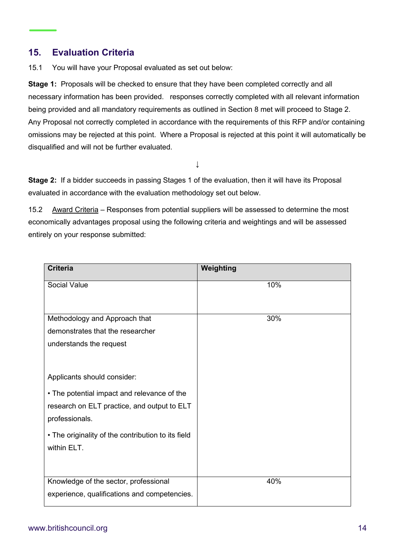## **15. Evaluation Criteria**

15.1 You will have your Proposal evaluated as set out below:

**Stage 1:** Proposals will be checked to ensure that they have been completed correctly and all necessary information has been provided. responses correctly completed with all relevant information being provided and all mandatory requirements as outlined in Section 8 met will proceed to Stage 2. Any Proposal not correctly completed in accordance with the requirements of this RFP and/or containing omissions may be rejected at this point. Where a Proposal is rejected at this point it will automatically be disqualified and will not be further evaluated.

↓

**Stage 2:** If a bidder succeeds in passing Stages 1 of the evaluation, then it will have its Proposal evaluated in accordance with the evaluation methodology set out below.

15.2 Award Criteria – Responses from potential suppliers will be assessed to determine the most economically advantages proposal using the following criteria and weightings and will be assessed entirely on your response submitted:

| <b>Criteria</b>                                               | Weighting |
|---------------------------------------------------------------|-----------|
| Social Value                                                  | 10%       |
| Methodology and Approach that                                 | 30%       |
| demonstrates that the researcher                              |           |
| understands the request                                       |           |
| Applicants should consider:                                   |           |
| • The potential impact and relevance of the                   |           |
| research on ELT practice, and output to ELT<br>professionals. |           |
| . The originality of the contribution to its field            |           |
| within ELT.                                                   |           |
|                                                               |           |
| Knowledge of the sector, professional                         | 40%       |
| experience, qualifications and competencies.                  |           |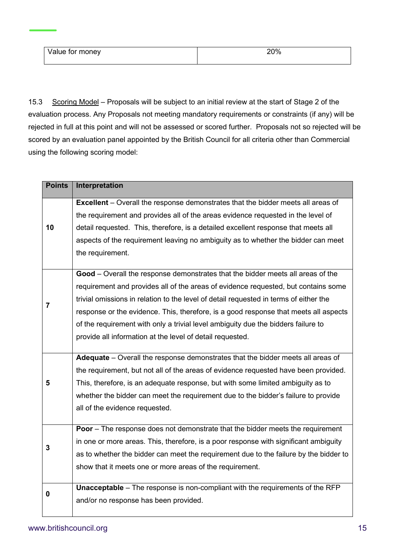15.3 Scoring Model – Proposals will be subject to an initial review at the start of Stage 2 of the evaluation process. Any Proposals not meeting mandatory requirements or constraints (if any) will be rejected in full at this point and will not be assessed or scored further. Proposals not so rejected will be scored by an evaluation panel appointed by the British Council for all criteria other than Commercial using the following scoring model:

| <b>Points</b> | Interpretation                                                                                                                                                                                                                                                                                                                                                                                                                                                                                           |
|---------------|----------------------------------------------------------------------------------------------------------------------------------------------------------------------------------------------------------------------------------------------------------------------------------------------------------------------------------------------------------------------------------------------------------------------------------------------------------------------------------------------------------|
| 10            | <b>Excellent</b> – Overall the response demonstrates that the bidder meets all areas of<br>the requirement and provides all of the areas evidence requested in the level of<br>detail requested. This, therefore, is a detailed excellent response that meets all<br>aspects of the requirement leaving no ambiguity as to whether the bidder can meet<br>the requirement.                                                                                                                               |
| 7             | Good - Overall the response demonstrates that the bidder meets all areas of the<br>requirement and provides all of the areas of evidence requested, but contains some<br>trivial omissions in relation to the level of detail requested in terms of either the<br>response or the evidence. This, therefore, is a good response that meets all aspects<br>of the requirement with only a trivial level ambiguity due the bidders failure to<br>provide all information at the level of detail requested. |
| 5             | Adequate - Overall the response demonstrates that the bidder meets all areas of<br>the requirement, but not all of the areas of evidence requested have been provided.<br>This, therefore, is an adequate response, but with some limited ambiguity as to<br>whether the bidder can meet the requirement due to the bidder's failure to provide<br>all of the evidence requested.                                                                                                                        |
| 3             | <b>Poor</b> – The response does not demonstrate that the bidder meets the requirement<br>in one or more areas. This, therefore, is a poor response with significant ambiguity<br>as to whether the bidder can meet the requirement due to the failure by the bidder to<br>show that it meets one or more areas of the requirement.                                                                                                                                                                       |
| 0             | <b>Unacceptable</b> – The response is non-compliant with the requirements of the RFP<br>and/or no response has been provided.                                                                                                                                                                                                                                                                                                                                                                            |